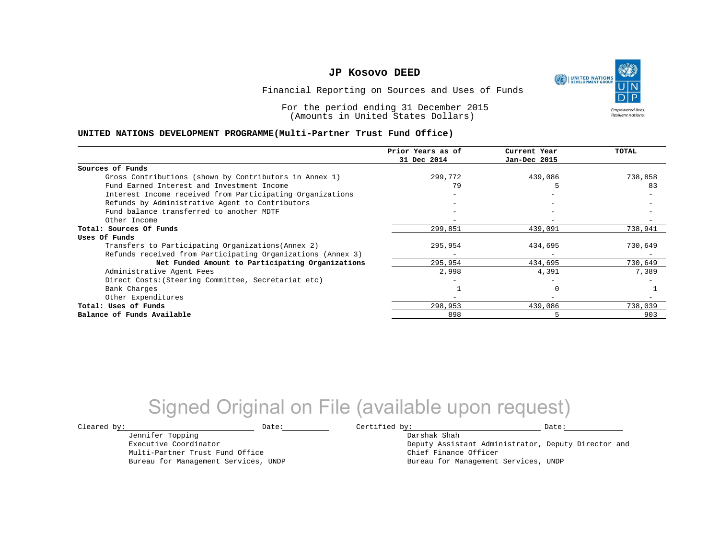UNITED NATIONS **Empowered lives Resilient nations.** 

Financial Reporting on Sources and Uses of Funds

For the period ending 31 December 2015 (Amounts in United States Dollars)

#### **UNITED NATIONS DEVELOPMENT PROGRAMME(Multi-Partner Trust Fund Office)**

|                                                             | Prior Years as of<br>31 Dec 2014 | Current Year<br>Jan-Dec 2015 | TOTAL   |
|-------------------------------------------------------------|----------------------------------|------------------------------|---------|
| Sources of Funds                                            |                                  |                              |         |
| Gross Contributions (shown by Contributors in Annex 1)      | 299,772                          | 439,086                      | 738,858 |
| Fund Earned Interest and Investment Income                  | 79                               |                              | 83      |
| Interest Income received from Participating Organizations   |                                  |                              |         |
| Refunds by Administrative Agent to Contributors             |                                  |                              |         |
| Fund balance transferred to another MDTF                    |                                  |                              |         |
| Other Income                                                |                                  |                              |         |
| Total: Sources Of Funds                                     | 299,851                          | 439,091                      | 738,941 |
| Uses Of Funds                                               |                                  |                              |         |
| Transfers to Participating Organizations (Annex 2)          | 295,954                          | 434,695                      | 730,649 |
| Refunds received from Participating Organizations (Annex 3) |                                  |                              |         |
| Net Funded Amount to Participating Organizations            | 295,954                          | 434,695                      | 730,649 |
| Administrative Agent Fees                                   | 2,998                            | 4,391                        | 7,389   |
| Direct Costs: (Steering Committee, Secretariat etc)         |                                  |                              |         |
| Bank Charges                                                |                                  |                              |         |
| Other Expenditures                                          |                                  |                              |         |
| Total: Uses of Funds                                        | 298,953                          | 439,086                      | 738,039 |
| Balance of Funds Available                                  | 898                              |                              | 903     |

## Signed Original on File (available upon request)

Jennifer Topping

Multi-Partner Trust Fund Office Bureau for Management Services, UNDP

Executive Coordinator

 $\texttt{Cleared by:}\footnotesize \begin{minipage}{0.9\linewidth} \texttt{Date:}\footnotesize \begin{minipage}{0.9\linewidth} \texttt{Date:}\footnotesize \begin{minipage}{0.9\linewidth} \end{minipage} \end{minipage}$ 

Darshak Shah Deputy Assistant Administrator, Deputy Director and Chief Finance Officer Bureau for Management Services, UNDP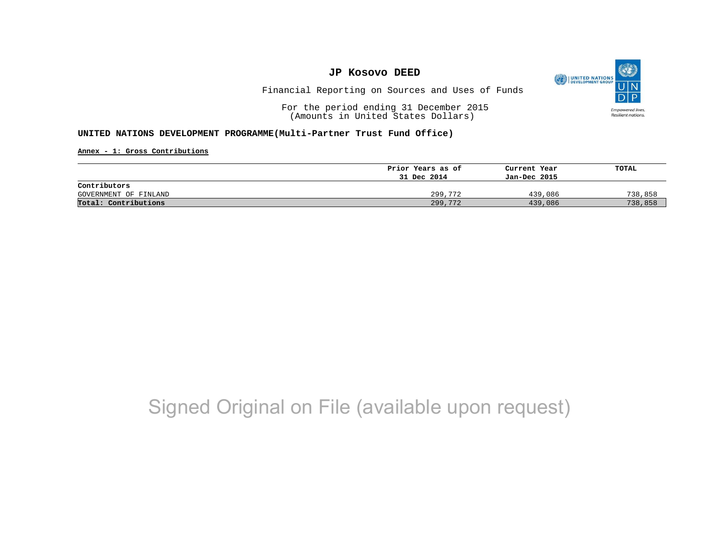

Financial Reporting on Sources and Uses of Funds

For the period ending 31 December 2015 (Amounts in United States Dollars)

#### **UNITED NATIONS DEVELOPMENT PROGRAMME(Multi-Partner Trust Fund Office)**

**Annex - 1: Gross Contributions**

|                       | Prior Years as of | Current Year | TOTAL   |
|-----------------------|-------------------|--------------|---------|
|                       | 31 Dec 2014       | Jan-Dec 2015 |         |
| Contributors          |                   |              |         |
| GOVERNMENT OF FINLAND | 299,772           | 439,086      | 738,858 |
| Total: Contributions  | 299,772           | 439,086      | 738,858 |

## Signed Original on File (available upon request)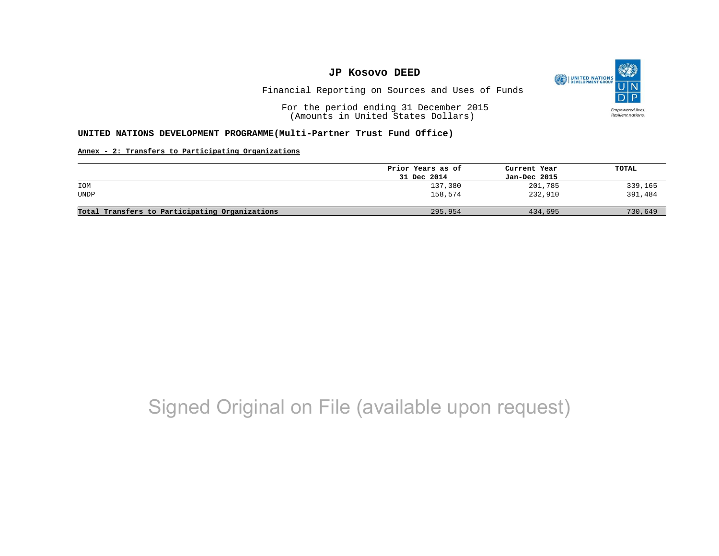

Financial Reporting on Sources and Uses of Funds

For the period ending 31 December 2015 (Amounts in United States Dollars)

#### **UNITED NATIONS DEVELOPMENT PROGRAMME(Multi-Partner Trust Fund Office)**

#### **Annex - 2: Transfers to Participating Organizations**

|                                                | Prior Years as of | Current Year | TOTAL   |
|------------------------------------------------|-------------------|--------------|---------|
|                                                | 31 Dec 2014       | Jan-Dec 2015 |         |
| IOM                                            | 137,380           | 201,785      | 339,165 |
| <b>UNDP</b>                                    | 158,574           | 232,910      | 391,484 |
|                                                |                   |              |         |
| Total Transfers to Participating Organizations | 295,954           | 434,695      | 730,649 |

## Signed Original on File (available upon request)